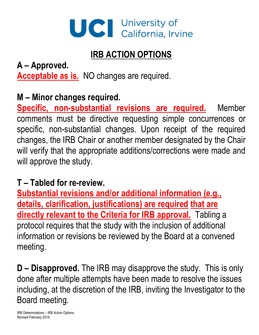

### **IRB ACTION OPTIONS**

**A – Approved.**

**Acceptable as is.** NO changes are required.

### **M – Minor changes required.**

**Specific, non-substantial revisions are required.** Member comments must be directive requesting simple concurrences or specific, non-substantial changes. Upon receipt of the required changes, the IRB Chair or another member designated by the Chair will verify that the appropriate additions/corrections were made and will approve the study.

### **T – Tabled for re-review.**

**Substantial revisions and/or additional information (e.g., details, clarification, justifications) are required that are directly relevant to the Criteria for IRB approval.** Tabling a protocol requires that the study with the inclusion of additional information or revisions be reviewed by the Board at a convened meeting.

**D – Disapproved.** The IRB may disapprove the study. This is only done after multiple attempts have been made to resolve the issues including, at the discretion of the IRB, inviting the Investigator to the Board meeting.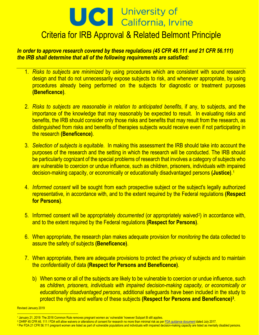## **UCI** University of<br>California, Irvine Criteria for IRB Approval & Related Belmont Principle

#### *In order to approve research covered by these regulations (45 CFR 46.111 and 21 CFR 56.111) the IRB shall determine that all of the following requirements are satisfied:*

- 1. *Risks to subjects are minimized* by using procedures which are consistent with sound research design and that do not unnecessarily expose subjects to risk, and whenever appropriate, by using procedures already being performed on the subjects for diagnostic or treatment purposes **(Beneficence)**.
- 2. *Risks to subjects are reasonable in relation to anticipated benefits*, if any, to subjects, and the importance of the knowledge that may reasonably be expected to result. In evaluating risks and benefits, the IRB should consider only those risks and benefits that may result from the research, as distinguished from risks and benefits of therapies subjects would receive even if not participating in the research **(Beneficence)**.
- 3. *Selection of subjects is equitable*. In making this assessment the IRB should take into account the purposes of the research and the setting in which the research will be conducted. The IRB should be particularly cognizant of the special problems of research that involves a category of subjects who are vulnerable to coercion or undue influence, such as children, prisoners, individuals with impaired decision-making capacity, or economically or educationally disadvantaged persons **(Justice)**.[1](#page-1-0)
- 4. *Informed consent* will be sought from each prospective subject or the subject's legally authorized representative, in accordance with, and to the extent required by the Federal regulations **(Respect for Persons)**.
- 5. Informed consent will be appropriately *documented* (or appropriately waived[2\)](#page-1-1) in accordance with, and to the extent required by the Federal regulations **(Respect for Persons)**.
- 6. When appropriate, the research plan makes adequate provision for *monitoring* the data collected to assure the safety of subjects **(Beneficence)**.
- 7. When appropriate, there are adequate provisions to protect the *privacy* of subjects and to maintain the *confidentiality* of data **(Respect for Persons and Beneficence)**.
	- b) When some or all of the subjects are likely to be vulnerable to coercion or undue influence, such as *children, prisoners, individuals with impaired decision-making capacity, or economically or educationally disadvantaged persons*, additional safeguards have been included in the study to protect the rights and welfare of these subjects **(Respect for Persons and Beneficence[\)3](#page-1-2)**.

Revised January 2019

1 January 21, 2019: The 2018 Common Rule removes pregnant women as 'vulnerable' however Subpart B still applies.<br><sup>2</sup> OHRP 45 CFR 46. 111 / FDA will allow waivers or alterations of consent for research no more than minimal

<span id="page-1-0"></span>

<span id="page-1-2"></span><span id="page-1-1"></span><sup>&</sup>lt;sup>3</sup> Per FDA 21 CFR 56.111 pregnant women are liste[d](https://www.fda.gov/RegulatoryInformation/Guidances/ucm566474.htm) as part of vulnerable populations and individuals with impaired decision-making capacity are listed as mentally disabled persons.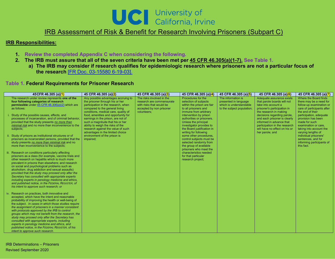UCI University of<br>California, Irvine

#### IRB Assessment of Risk & Benefit for Research Involving Prisoners (Subpart C)

#### **IRB Responsibilities:**

- **1. Review the completed Appendix C when considering the following.**
- **2. The IRB must assure that all of the seven criteria have been met per 45 CFR 46.305(a)(1-7). See Table 1.**
	- **a) The IRB may consider if research qualifies for epidemiologic research where prisoners are not a particular focus of the research** [\[FR Doc. 03-15580 6-19-03\].](https://www.federalregister.gov/documents/2003/06/20/03-15580/waiver-of-the-applicability-of-certain-provisions-of-department-of-health-and-human-services)

#### **Table 1. Federal Requirements for Prisoner Research**

| 45 CFR 46.305 (a)(1)                                                                                | 45 CFR 46.305 (a)(2)                 | 45 CFR 46.305 (a)(3)      | 45 CFR 46.305 (a) $(4)$    | 45 CFR 46.305 (a)(5)       | 45 CFR 46.305 (a)(6)          | 45 CFR 46.305 (a)(7)       |
|-----------------------------------------------------------------------------------------------------|--------------------------------------|---------------------------|----------------------------|----------------------------|-------------------------------|----------------------------|
| The research under review represents one of the                                                     | Any possible advantages accruing to  | The risks involved in the | Procedures for the         | The information is         | Adequate assurance exists     | Where the Board finds      |
| four following categories of research                                                               | the prisoner through his or her      | research are commensurate | selection of subjects      | presented in language      | that parole boards will not   | there may be a need for    |
| <b>permissible</b> under 45 CFR $46.306(a)(2)$ which are                                            | participation in the research, when  | with risks that would be  | within the prison are fair | which is understandable    | take into account a           | follow-up examination or   |
| as follows:                                                                                         | compared to the general living       | accepted by non prisoner  | to all prisoners and       | to the subject population; | prisoner's participation in   | care of participants after |
|                                                                                                     | conditions, medical care, quality of | volunteers:               | immune from arbitrary      |                            | the research in making        | the end of their           |
| Study of the possible causes, effects, and                                                          | food, amenities and opportunity for  |                           | intervention by prison     |                            | decisions regarding parole,   | participation, adequate    |
| processes of incarceration, and of criminal behavior.                                               | earnings in the prison, are not of   |                           | authorities or prisoners.  |                            | and each prisoner is clearly  | provision has been         |
| provided that the study presents no more than                                                       | such a magnitude that his or her     |                           | Unless the principal       |                            | informed in advance that      | made for such              |
| minimal risk and no more than inconvenience to the                                                  | ability to weigh the risks of the    |                           | investigator provides to   |                            | participation in the research | examination or care,       |
| subjects;                                                                                           | research against the value of such   |                           | the Board justification in |                            | will have no effect on his or | taking into account the    |
|                                                                                                     | advantages in the limited choice     |                           | writing for following      |                            | her parole; and               | varying lengths of         |
| ii. Study of prisons as institutional structures or of                                              | environment of the prison is         |                           | some other procedures.     |                            |                               | individual prisoners'      |
| prisoners as incarcerated persons, provided that the                                                | impaired;                            |                           | control subjects must be   |                            |                               | sentences, and for         |
| study presents no more than minimal risk and no                                                     |                                      |                           | selected randomly from     |                            |                               | informing participants of  |
| more than inconvenience to the subjects;                                                            |                                      |                           | the group of available     |                            |                               | this fact.                 |
|                                                                                                     |                                      |                           | prisoners who meet the     |                            |                               |                            |
| iii. Research on conditions particularly affecting                                                  |                                      |                           | characteristics needed     |                            |                               |                            |
| prisoners as a class (for example, vaccine trials and                                               |                                      |                           | for that particular        |                            |                               |                            |
| other research on hepatitis which is much more<br>prevalent in prisons than elsewhere; and research |                                      |                           | research project;          |                            |                               |                            |
| on social and psychological problems such as                                                        |                                      |                           |                            |                            |                               |                            |
| alcoholism, drug addiction and sexual assaults)                                                     |                                      |                           |                            |                            |                               |                            |
| provided that the study may proceed only after the                                                  |                                      |                           |                            |                            |                               |                            |
| Secretary has consulted with appropriate experts                                                    |                                      |                           |                            |                            |                               |                            |
| including experts in penology medicine and ethics,                                                  |                                      |                           |                            |                            |                               |                            |
| and published notice, in the FEDERAL REGISTER, of                                                   |                                      |                           |                            |                            |                               |                            |
| his intent to approve such research; or                                                             |                                      |                           |                            |                            |                               |                            |
|                                                                                                     |                                      |                           |                            |                            |                               |                            |
| iv. Research on practices, both innovative and                                                      |                                      |                           |                            |                            |                               |                            |
| accepted, which have the intent and reasonable                                                      |                                      |                           |                            |                            |                               |                            |
| probability of improving the health or well-being of                                                |                                      |                           |                            |                            |                               |                            |
| the subject. In cases in which those studies require                                                |                                      |                           |                            |                            |                               |                            |
| the assignment of prisoners in a manner consistent                                                  |                                      |                           |                            |                            |                               |                            |
| with protocols approved by the IRB to control                                                       |                                      |                           |                            |                            |                               |                            |
| groups which may not benefit from the research, the                                                 |                                      |                           |                            |                            |                               |                            |
| study may proceed only after the Secretary has                                                      |                                      |                           |                            |                            |                               |                            |
| consulted with appropriate experts, including                                                       |                                      |                           |                            |                            |                               |                            |
| experts in penology medicine and ethics, and                                                        |                                      |                           |                            |                            |                               |                            |
| published notice, in the FEDERAL REGISTER, of his                                                   |                                      |                           |                            |                            |                               |                            |
| intent to approve such research.                                                                    |                                      |                           |                            |                            |                               |                            |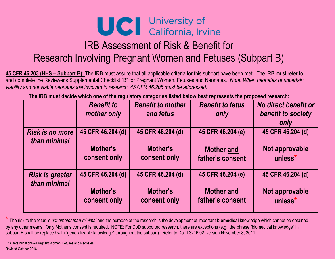

## IRB Assessment of Risk & Benefit for

### Research Involving Pregnant Women and Fetuses (Subpart B)

**45 CFR 46.203 (HHS – Subpart B):** The IRB must assure that all applicable criteria for this subpart have been met. The IRB must refer to and complete the Reviewer's Supplemental Checklist "B" for Pregnant Women, Fetuses and Neonates. *Note: When neonates of uncertain viability and nonviable neonates are involved in research, 45 CFR 46.205 must be addressed.*

**The IRB must decide which one of the regulatory categories listed below best represents the proposed research:**

|                                        | <b>Benefit to</b><br>mother only | <b>Benefit to mother</b><br>and fetus | <b>Benefit to fetus</b><br>only       | No direct benefit or<br>benefit to society<br>only |
|----------------------------------------|----------------------------------|---------------------------------------|---------------------------------------|----------------------------------------------------|
| <b>Risk is no more</b><br>than minimal | 45 CFR 46.204 (d)                | 45 CFR 46.204 (d)                     | 45 CFR 46.204 (e)                     | 45 CFR 46.204 (d)                                  |
|                                        | <b>Mother's</b><br>consent only  | <b>Mother's</b><br>consent only       | <b>Mother and</b><br>father's consent | Not approvable<br>unless*                          |
| <b>Risk is greater</b><br>than minimal | 45 CFR 46.204 (d)                | 45 CFR 46.204 (d)                     | 45 CFR 46.204 (e)                     | 45 CFR 46.204 (d)                                  |
|                                        | <b>Mother's</b><br>consent only  | Mother's<br>consent only              | <b>Mother and</b><br>father's consent | Not approvable<br>unless $*$                       |

\* The risk to the fetus is *not greater than minimal* and the purpose of the research is the development of important **biomedical** knowledge which cannot be obtained by any other means. Only Mother's consent is required. NOTE: For DoD supported research, there are exceptions (e.g., the phrase "biomedical knowledge" in subpart B shall be replaced with "generalizable knowledge" throughout the subpart). Refer to DoDI 3216.02, version November 8, 2011.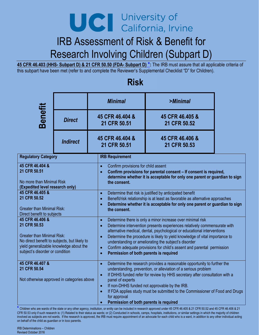## UCI University of<br>California, Irvine

## IRB Assessment of Risk & Benefit for Research Involving Children (Subpart D)

**45 CFR 46.403 (HHS- Subpart D) & 21 CFR 50.50 (FDA- Subpart D) \*:** The IRB must assure that all applicable criteria of this subpart have been met (refer to and complete the Reviewer's Supplemental Checklist "D" for Children).

#### **Benefit Regulatory Category IRB Requirement 45 CFR 46.404 & 21 CFR 50.51** No more than Minimal Risk **(Expedited level research only)** • Confirm provisions for child assent • **Confirm provisions for parental consent – If consent is required, determine whether it is acceptable for only one parent or guardian to sign the consent. 45 CFR 46.405 & 21 CFR 50.52** Greater than Minimal Risk: Direct benefit to subjects • Determine that risk is justified by anticipated benefit • Benefit/risk relationship is at least as favorable as alternative approaches • **Determine whether it is acceptable for only one parent or guardian to sign the consent. 45 CFR 46.406 & 21 CFR 50.53** Greater than Minimal Risk: No direct benefit to subjects, but likely to yield generalizable knowledge about the subject's disorder or condition • Determine there is only a minor increase over minimal risk • Determine intervention presents experiences relatively commensurate with alternative medical, dental, psychological or educational interventions • Determine the procedure is likely to yield knowledge of vital importance to understanding or ameliorating the subject's disorder • Confirm adequate provisions for child's assent and parental permission • **Permission of both parents is required 45 CFR 46.407 & 21 CFR 50.54** Not otherwise approved in categories above • Determine the research provides a reasonable opportunity to further the understanding, prevention, or alleviation of a serious problem • If DHHS funded refer for review by HHS secretary after consultation with a panel of experts • If non-DHHS funded not approvable by the IRB. • If FDA applies study must be submitted to the Commissioner of Food and Drugs for approval • **Permission of both parents is required** *Minimal >Minimal Direct* **45 CFR 46.404 & 21 CFR 50.51 45 CFR 46.405 & 21 CFR 50.52** *Indirect* **45 CFR 46.404 & 21 CFR 50.51 45 CFR 46.406 & 21 CFR 50.53**

**\*** Children who are wards of the state or any other agency, institution, or entity can be included in research approved under 45 CFR 46.405 & 21 CFR 50.52 and 45 CFR 46.406 & 21 CFR 50.53 only if such research is: (1) Related to their status as wards; or (2) Conducted in schools, camps, hospitals, institutions, or similar settings in which the majority of children involved as subjects are not wards. If the research is approved, the IRB must require appointment of an advocate for each child who is a ward, in addition to any other individual acting on behalf of the child as guardian or in loco parentis.

#### **Risk**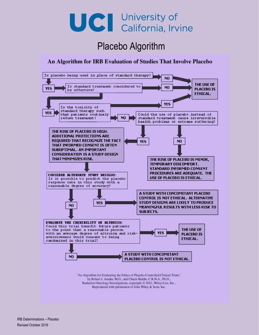

## Placebo Algorithm

#### An Algorithm for IRB Evaluation of Studies That Involve Placebo

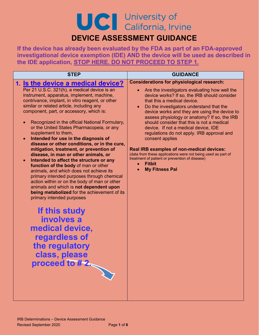## UCI University of<br>California, Irvine **DEVICE ASSESSMENT GUIDANCE**

**If the device has already been evaluated by the FDA as part of an FDA-approved investigational device exemption (IDE) AND the device will be used as described in the IDE application, STOP HERE. DO NOT PROCEED TO STEP 1.**

| <b>STEP</b>                                                                                                                                                                                                                                                                                                                                                                                                                                                                                                                                                                                                                                                                                                                                                                                                                                                                                                                                                      | <b>GUIDANCE</b>                                                                                                                                                                                                                                                                                                                                                                                                                                                                                                                                                                                                                                                                                             |
|------------------------------------------------------------------------------------------------------------------------------------------------------------------------------------------------------------------------------------------------------------------------------------------------------------------------------------------------------------------------------------------------------------------------------------------------------------------------------------------------------------------------------------------------------------------------------------------------------------------------------------------------------------------------------------------------------------------------------------------------------------------------------------------------------------------------------------------------------------------------------------------------------------------------------------------------------------------|-------------------------------------------------------------------------------------------------------------------------------------------------------------------------------------------------------------------------------------------------------------------------------------------------------------------------------------------------------------------------------------------------------------------------------------------------------------------------------------------------------------------------------------------------------------------------------------------------------------------------------------------------------------------------------------------------------------|
| 1. Is the device a medical device?<br>Per 21 U.S.C. 321(h), a medical device is an<br>instrument, apparatus, implement, machine,<br>contrivance, implant, in vitro reagent, or other<br>similar or related article, including any<br>component, part, or accessory, which is:<br>Recognized in the official National Formulary,<br>or the United States Pharmacopeia, or any<br>supplement to them,<br>Intended for use in the diagnosis of<br>$\bullet$<br>disease or other conditions, or in the cure,<br>mitigation, treatment, or prevention of<br>disease, in man or other animals, or<br>Intended to affect the structure or any<br>function of the body of man or other<br>animals, and which does not achieve its<br>primary intended purposes through chemical<br>action within or on the body of man or other<br>animals and which is not dependent upon<br>being metabolized for the achievement of its<br>primary intended purposes<br>If this study | <b>Considerations for physiological research:</b><br>Are the investigators evaluating how well the<br>device works? If so, the IRB should consider<br>that this a medical device.<br>Do the investigators understand that the<br>device works and they are using the device to<br>assess physiology or anatomy? If so, the IRB<br>should consider that this is not a medical<br>device. If not a medical device, IDE<br>regulations do not apply. IRB approval and<br>consent applies<br>Real IRB examples of non-medical devices:<br>(data from these applications were not being used as part of<br>treatment of patient or prevention of disease)<br><b>Fitbit</b><br>$\bullet$<br><b>My Fitness Pal</b> |
| involves a<br>medical device,                                                                                                                                                                                                                                                                                                                                                                                                                                                                                                                                                                                                                                                                                                                                                                                                                                                                                                                                    |                                                                                                                                                                                                                                                                                                                                                                                                                                                                                                                                                                                                                                                                                                             |
| regardless of<br>the regulatory<br>class, please<br>proceed to #2                                                                                                                                                                                                                                                                                                                                                                                                                                                                                                                                                                                                                                                                                                                                                                                                                                                                                                |                                                                                                                                                                                                                                                                                                                                                                                                                                                                                                                                                                                                                                                                                                             |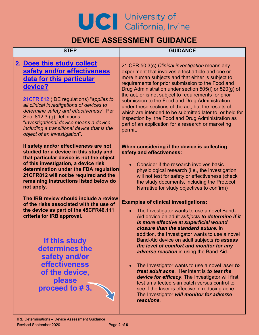## **UCI** University of<br>California, Irvine

#### **DEVICE ASSESSMENT GUIDANCE**

#### **STEP GUIDANCE**

#### **2. Does this study collect safety and/or effectiveness data for this particular device?**

[21CFR 812](https://www.accessdata.fda.gov/scripts/cdrh/cfdocs/cfcfr/CFRSearch.cfm?CFRPart=812) (IDE regulations) "*applies to all clinical investigations of devices to determine safety and effectiveness*". Per Sec. 812.3 (g) Definitions, "*Investigational device means a device, including a transitional device that is the object of an investigation*".

**If safety and/or effectiveness are not studied for a device in this study and that particular device is not the object of this investigation, a device risk determination under the FDA regulation 21CFR812 will not be required and the remaining instructions listed below do not apply.** 

**The IRB review should include a review of the risks associated with the use of the device as part of the 45CFR46.111 criteria for IRB approval.**

> **If this study determines the safety and/or effectiveness of the device, please proceed to # 3.**

21 CFR 50.3(c) *Clinical investigation* means any experiment that involves a test article and one or more human subjects and that either is subject to requirements for prior submission to the Food and Drug Administration under section 505(i) or 520(g) of the act, or is not subject to requirements for prior submission to the Food and Drug Administration under these sections of the act, but the results of which are intended to be submitted later to, or held for inspection by, the Food and Drug Administration as part of an application for a research or marketing permit.

#### **When considering if the device is collecting safety and effectiveness:**

• Consider if the research involves basic physiological research (i.e., the investigation will not test for safety or effectiveness (check the study documents, including the Protocol Narrative for study objectives to confirm)

#### **Examples of clinical investigations:**

- The Investigator wants to use a novel Band-Aid device on adult *subjects to determine if it is more effective at superficial wound closure than the standard suture*. In addition, the Investigator wants to use a novel Band-Aid device on adult subjects *to assess the level of comfort and monitor for any adverse reaction* in using the Band-Aid.
- The Investigator wants to use a novel laser *to treat adult acne*. Her intent is *to test the device for efficacy*. The Investigator will first test an affected skin patch versus control to see if the laser is effective in reducing acne. The Investigator *will monitor for adverse reactions*.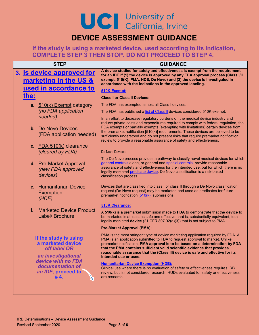## UCI University of<br>California, Irvine

#### **DEVICE ASSESSMENT GUIDANCE**

#### **If the study is using a marketed device, used according to its indication, COMPLETE STEP 3 THEN STOP. DO NOT PROCEED TO STEP 4.**

| <b>STEP</b>                                                              | <b>GUIDANCE</b>                                                                                                                                                                                                                                                                                                                                                                                                  |  |  |
|--------------------------------------------------------------------------|------------------------------------------------------------------------------------------------------------------------------------------------------------------------------------------------------------------------------------------------------------------------------------------------------------------------------------------------------------------------------------------------------------------|--|--|
| 3. Is device approved for<br><b>marketing in the US &amp;</b>            | A device studied for safety and effectiveness is exempt from the requirement<br>for an IDE if (1) the device is approved by any FDA approval process (Class I/II<br>exempt, 510(K), PMA, HDE, De Novo) and (2) the device is investigated in<br>accordance with the indications in the approved labeling.                                                                                                        |  |  |
| used in accordance to                                                    | 510K Exempt:                                                                                                                                                                                                                                                                                                                                                                                                     |  |  |
| <u>the:</u>                                                              | <b>Class I or Class II Devices:</b>                                                                                                                                                                                                                                                                                                                                                                              |  |  |
| a. 510(k) Exempt category                                                | The FDA has exempted almost all Class I devices.                                                                                                                                                                                                                                                                                                                                                                 |  |  |
| (no FDA application                                                      | The FDA has published a list of Class II devices considered 510K exempt.                                                                                                                                                                                                                                                                                                                                         |  |  |
| needed)<br><b>b.</b> De Novo Devices<br>(FDA application needed)         | In an effort to decrease regulatory burdens on the medical device industry and<br>reduce private costs and expenditures required to comply with federal regulation, the<br>FDA exempts or partially exempts (exempting with limitations) certain devices from<br>the premarket notification [510(k)] requirements. These devices are believed to be                                                              |  |  |
|                                                                          | sufficiently understood and do not present risks that require premarket notification<br>review to provide a reasonable assurance of safety and effectiveness.                                                                                                                                                                                                                                                    |  |  |
| c. $FDA 510(k)$ clearance<br>(cleared by FDA)                            | De Novo Devices:                                                                                                                                                                                                                                                                                                                                                                                                 |  |  |
| d. Pre-Market Approval<br>(new FDA approved<br>devices)                  | The De Novo process provides a pathway to classify novel medical devices for which<br>general controls alone, or general and special controls, provide reasonable<br>assurance of safety and effectiveness for the intended use, but for which there is no<br>legally marketed predicate device. De Novo classification is a risk-based<br>classification process.                                               |  |  |
| e. Humanitarian Device<br><b>Exemption</b><br>(HDE)                      | Devices that are classified into class I or class II through a De Novo classification<br>request (De Novo request) may be marketed and used as predicates for future<br>premarket notification [510(k)] submissions.                                                                                                                                                                                             |  |  |
|                                                                          | <b>510K Clearance:</b>                                                                                                                                                                                                                                                                                                                                                                                           |  |  |
| <b>Marketed Device Product</b><br>$f_{\rm{r}}$<br><b>Label/ Brochure</b> | A 510(k) is a premarket submission made to FDA to demonstrate that the device to<br>be marketed is at least as safe and effective, that is, substantially equivalent, to a<br>legally marketed device (21 CFR 807.92(a)(3)) that is not subject to PMA.                                                                                                                                                          |  |  |
|                                                                          | <b>Pre-Market Approval (PMA):</b>                                                                                                                                                                                                                                                                                                                                                                                |  |  |
| If the study is using<br>a marketed device<br>off label OR               | PMA is the most stringent type of device marketing application required by FDA. A<br>PMA is an application submitted to FDA to request approval to market. Unlike<br>premarket notification, PMA approval is to be based on a determination by FDA<br>that the PMA contains sufficient valid scientific evidence that provides<br>reasonable assurance that the (Class III) device is safe and effective for its |  |  |
| an investigational<br>device with no FDA                                 | intended use or uses.                                                                                                                                                                                                                                                                                                                                                                                            |  |  |
| documentation of<br>an IDE, proceed to<br># 4.                           | <b>Humanitarian Device Exemption (HDE):</b><br>Clinical use where there is no evaluation of safety or effectiveness requires IRB<br>review, but is not considered research. HUDs evaluated for safety or effectiveness<br>are research.                                                                                                                                                                          |  |  |
|                                                                          |                                                                                                                                                                                                                                                                                                                                                                                                                  |  |  |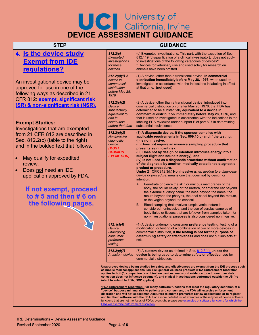## UCI University of<br>California, Irvine **DEVICE ASSESSMENT GUIDANCE**

#### **4. Is the device study Exempt from IDE regulations?**

An investigational device may be approved for use in one of the following ways as described in 21 CFR 812: **exempt, significant risk (SR) & non-significant risk (NSR).**

#### **Exempt Studies:**

Investigations that are exempted from 21 CFR 812 are described in Sec. 812.2(c) (table to the right) and in the bolded text that follows.

- May qualify for expedited review.
- Does not need an IDE application approved by FDA.

#### **If not exempt, proceed to # 5 and then # 6 on the following pages.**

| STEP                                                                                                                                                                                                                                                                                                                          | <b>GUIDANCE</b>                                                                                              |                                                                                                                                                                                                                                                                                                                                                                                                                                                                                                                                                                                                                                                                                                                                                                                                                                                                                                                                                                                                                                                                                                                                                                                                                                       |  |
|-------------------------------------------------------------------------------------------------------------------------------------------------------------------------------------------------------------------------------------------------------------------------------------------------------------------------------|--------------------------------------------------------------------------------------------------------------|---------------------------------------------------------------------------------------------------------------------------------------------------------------------------------------------------------------------------------------------------------------------------------------------------------------------------------------------------------------------------------------------------------------------------------------------------------------------------------------------------------------------------------------------------------------------------------------------------------------------------------------------------------------------------------------------------------------------------------------------------------------------------------------------------------------------------------------------------------------------------------------------------------------------------------------------------------------------------------------------------------------------------------------------------------------------------------------------------------------------------------------------------------------------------------------------------------------------------------------|--|
| <b>rice study</b><br>om IDE <sup>.</sup><br>1S?                                                                                                                                                                                                                                                                               | 812.2(c)<br>Exempted<br>investigations<br>for these<br>devices                                               | (c) Exempted investigations. This part, with the exception of Sec.<br>812.119 (disqualification of a clinical investigator), does not apply<br>to investigations of the following categories of devices*:<br>* Devices for veterinary use and used solely for research on<br>animals have been omitted.                                                                                                                                                                                                                                                                                                                                                                                                                                                                                                                                                                                                                                                                                                                                                                                                                                                                                                                               |  |
| ıl device may be<br>$\cdot$ in one of the<br>s described in 21<br><u>pt, significant risk</u><br><u>ificant risk (NSR).</u><br>at are exempted<br>2 are described in<br>ble to the right)<br>I text that follows.<br>or expedited<br>d an IDE<br>proved by FDA.<br>empt, proceed<br>d then # 6 on $\,$<br><b>owing pages.</b> | 812.2(c)(1) $A$<br>device in<br>commercial<br>distribution<br>before May 28,<br>1976                         | (1) A device, other than a transitional device, in commercial<br>distribution immediately before May 28, 1976, when used or<br>investigated in accordance with the indications in labeling in effect<br>at that time. (not used)                                                                                                                                                                                                                                                                                                                                                                                                                                                                                                                                                                                                                                                                                                                                                                                                                                                                                                                                                                                                      |  |
|                                                                                                                                                                                                                                                                                                                               | 812.2(c)(2)<br><b>Device</b><br>substantially<br>equivalent to<br>one in<br>distribution<br>before that date | (2) A device, other than a transitional device, introduced into<br>commercial distribution on or after May 28, 1976, that FDA has<br>determined to be substantially equivalent to a device in<br>commercial distribution immediately before May 28, 1976, and<br>that is used or investigated in accordance with the indications in the<br>labeling FDA reviewed under subpart E of part 807 in determining<br>substantial equivalence.                                                                                                                                                                                                                                                                                                                                                                                                                                                                                                                                                                                                                                                                                                                                                                                               |  |
|                                                                                                                                                                                                                                                                                                                               | 812.2(c)(3)<br>Noninvasive<br>diagnostic<br>device<br>(MOST<br><b>COMMON</b><br><b>EXEMPTION)</b>            | (3) A diagnostic device, if the sponsor complies with<br>applicable requirements in Sec. 809.10(c) and if the testing:<br>(i) Is noninvasive,<br>(ii) Does not require an invasive sampling procedure that<br>presents significant risk,<br>(iii) Does not by design or intention introduce energy into a<br>subject (light and sound = energy), and<br>(iv) Is not used as a diagnostic procedure without confirmation<br>of the diagnosis by another, medically established diagnostic<br>product or procedure.<br>Under 21 CFR 812.3(k) Noninvasive when applied to a diagnostic<br>device or procedure, means one that does not by design or<br>intention:<br>Penetrate or pierce the skin or mucous membranes of the<br>А.<br>body, the ocular cavity, or the urethra, or enter the ear beyond<br>the external auditory canal, the nose beyond the nares, the<br>mouth beyond the pharynx, the anal canal beyond the rectum,<br>or the vagina beyond the cervical.<br>Blood sampling that involves simple venipuncture is<br>В.<br>considered noninvasive, and the use of surplus samples of<br>body fluids or tissues that are left over from samples taken for<br>non-investigational purposes is also considered noninvasive. |  |
|                                                                                                                                                                                                                                                                                                                               | 812. (c)(4)<br>Device<br>undergoing<br>consumer<br>preference<br>testing                                     | (4) A device undergoing consumer <b>preference testing</b> , testing of a<br>modification, or testing of a combination of two or more devices in<br>commercial distribution, if the testing is not for the purpose of<br>determining safety or effectiveness and does not put subjects at<br>risk.                                                                                                                                                                                                                                                                                                                                                                                                                                                                                                                                                                                                                                                                                                                                                                                                                                                                                                                                    |  |
|                                                                                                                                                                                                                                                                                                                               | 812.2(c)(7)<br>A custom device                                                                               | $(7)$ A custom device as defined in Sec. 812.3(b), unless the<br>device is being used to determine safety or effectiveness for<br>commercial distribution.                                                                                                                                                                                                                                                                                                                                                                                                                                                                                                                                                                                                                                                                                                                                                                                                                                                                                                                                                                                                                                                                            |  |
|                                                                                                                                                                                                                                                                                                                               | intent to submit to FDA, GCP applies).                                                                       | Unapproved devices being studied for safety and effectiveness are exempt from the IDE process such<br>as mobile medical applications, low risk general wellness products (FDA Enforcement Discretion<br>applies to both)*, companion / combination devices, real world evidence (practitioner use, data<br>collection does not influence treatment), and clinical investigations performed outside the US (no                                                                                                                                                                                                                                                                                                                                                                                                                                                                                                                                                                                                                                                                                                                                                                                                                         |  |
|                                                                                                                                                                                                                                                                                                                               | <b>FDA will exercise enforcement discretion</b>                                                              | *FDA Enforcement Discretion: For many software functions that meet the regulatory definition of a<br>"device" but pose minimal risk to patients and consumers, the FDA will exercise enforcement<br>discretion and will not expect manufacturers to submit premarket review applications or to register<br>and list their software with the FDA. For a more detailed list of examples of these types of device software<br>functions that are not the focus of FDA's oversight, please see examples of software functions for which the                                                                                                                                                                                                                                                                                                                                                                                                                                                                                                                                                                                                                                                                                               |  |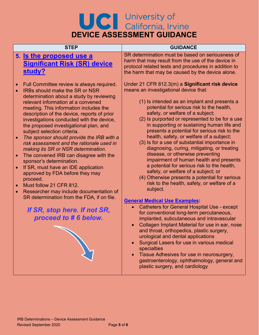# **UCL** University of<br>DEVICE ASSESSMENT GUIDANCE

| <b>STEP</b>                                                                                                                                                                                                                                                                                                                                                                                                                                                                                                                                                                                                                                                                                                                                                                                                                                       | <b>GUIDANCE</b>                                                                                                                                                                                                                                                                                                                                                                                                                                                                                                                                                                                                                                                                                                                                                                                          |
|---------------------------------------------------------------------------------------------------------------------------------------------------------------------------------------------------------------------------------------------------------------------------------------------------------------------------------------------------------------------------------------------------------------------------------------------------------------------------------------------------------------------------------------------------------------------------------------------------------------------------------------------------------------------------------------------------------------------------------------------------------------------------------------------------------------------------------------------------|----------------------------------------------------------------------------------------------------------------------------------------------------------------------------------------------------------------------------------------------------------------------------------------------------------------------------------------------------------------------------------------------------------------------------------------------------------------------------------------------------------------------------------------------------------------------------------------------------------------------------------------------------------------------------------------------------------------------------------------------------------------------------------------------------------|
| 5. Is the proposed use a<br><b>Significant Risk (SR) device</b><br>study?                                                                                                                                                                                                                                                                                                                                                                                                                                                                                                                                                                                                                                                                                                                                                                         | SR determination must be based on seriousness of<br>harm that may result from the use of the device in<br>protocol related tests and procedures in addition to<br>the harm that may be caused by the device alone.                                                                                                                                                                                                                                                                                                                                                                                                                                                                                                                                                                                       |
| Full Committee review is always required.<br>$\bullet$<br><b>IRBs should make the SR or NSR</b><br>$\bullet$<br>determination about a study by reviewing<br>relevant information at a convened<br>meeting. This information includes the<br>description of the device, reports of prior<br>investigations conducted with the device,<br>the proposed investigational plan, and<br>subject selection criteria.<br>The sponsor should provide the IRB with a<br>$\bullet$<br>risk assessment and the rationale used in<br>making its SR or NSR determination.<br>The convened IRB can disagree with the<br>$\bullet$<br>sponsor's determination.<br>If SR, must have an IDE application<br>$\bullet$<br>approved by FDA before they may<br>proceed.<br>Must follow 21 CFR 812.<br>$\bullet$<br>Researcher may include documentation of<br>$\bullet$ | Under 21 CFR 812.3(m) a Significant risk device<br>means an investigational device that:<br>(1) Is intended as an implant and presents a<br>potential for serious risk to the health,<br>safety, or welfare of a subject;<br>(2) Is purported or represented to be for a use<br>in supporting or sustaining human life and<br>presents a potential for serious risk to the<br>health, safety, or welfare of a subject;<br>(3) Is for a use of substantial importance in<br>diagnosing, curing, mitigating, or treating<br>disease, or otherwise preventing<br>impairment of human health and presents<br>a potential for serious risk to the health,<br>safety, or welfare of a subject; or<br>(4) Otherwise presents a potential for serious<br>risk to the health, safety, or welfare of a<br>subject. |
| SR determination from the FDA, if on file.<br>If SR, stop here. If not SR,<br>proceed to #6 below.                                                                                                                                                                                                                                                                                                                                                                                                                                                                                                                                                                                                                                                                                                                                                | <b>General Medical Use Examples</b><br><b>Catheters for General Hospital Use - except</b><br>$\bullet$<br>for conventional long-term percutaneous,<br>implanted, subcutaneous and intravascular<br>Collagen Implant Material for use in ear, nose<br>$\bullet$<br>and throat, orthopedics, plastic surgery,<br>urological and dental applications<br>Surgical Lasers for use in various medical<br>$\bullet$<br>specialties<br>Tissue Adhesives for use in neurosurgery,<br>gootrooptaralagu aphtholmalagu goneral and                                                                                                                                                                                                                                                                                   |

gastroenterology, ophthalmology, general and

plastic surgery, and cardiology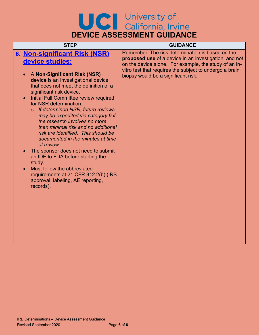# **DEVICE ASSESSMENT GUIDANCE**

| <b>STEP</b>                                                                                                                                                                                                                                                                                                                                                                                                                                                                                                                                                                                                                                                                                                                                      | <b>GUIDANCE</b>                                                                                                                                                                                                                                                      |
|--------------------------------------------------------------------------------------------------------------------------------------------------------------------------------------------------------------------------------------------------------------------------------------------------------------------------------------------------------------------------------------------------------------------------------------------------------------------------------------------------------------------------------------------------------------------------------------------------------------------------------------------------------------------------------------------------------------------------------------------------|----------------------------------------------------------------------------------------------------------------------------------------------------------------------------------------------------------------------------------------------------------------------|
| 6. Non-significant Risk (NSR)<br>device studies:<br>A Non-Significant Risk (NSR)<br>device is an investigational device<br>that does not meet the definition of a<br>significant risk device.<br><b>Initial Full Committee review required</b><br>for NSR determination.<br>If determined NSR, future reviews<br>$\Omega$<br>may be expedited via category 9 if<br>the research involves no more<br>than minimal risk and no additional<br>risk are identified. This should be<br>documented in the minutes at time<br>of review.<br>The sponsor does not need to submit<br>an IDE to FDA before starting the<br>study.<br>Must follow the abbreviated<br>requirements at 21 CFR 812.2(b) (IRB<br>approval, labeling, AE reporting,<br>records). | Remember: The risk determination is based on the<br>proposed use of a device in an investigation, and not<br>on the device alone. For example, the study of an in-<br>vitro test that requires the subject to undergo a brain<br>biopsy would be a significant risk. |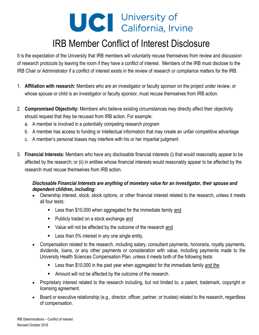## UC University of<br>California, Irvine

### IRB Member Conflict of Interest Disclosure

It is the expectation of the University that IRB members will voluntarily recuse themselves from review and discussion of research protocols by leaving the room if they have a conflict of interest. Members of the IRB must disclose to the IRB Chair or Administrator if a conflict of interest exists in the review of research or compliance matters for the IRB.

- 1. **Affiliation with research:** Members who are an investigator or faculty sponsor on the project under review, or whose spouse or child is an investigator or faculty sponsor, must recuse themselves from IRB action.
- 2. **Compromised Objectivity:** Members who believe existing circumstances may directly affect their objectivity should request that they be recused from IRB action. For example:
	- a. A member is involved in a potentially competing research program
	- b. A member has access to funding or intellectual information that may create an unfair competitive advantage
	- c. A member's personal biases may interfere with his or her impartial judgment
- 3. **Financial Interests:** Members who have any disclosable financial interests (i) that would reasonably appear to be affected by the research; or (ii) in entities whose financial interests would reasonably appear to be affected by the research must recuse themselves from IRB action.

#### *Disclosable Financial Interests are anything of monetary value for an investigator, their spouse and dependent children, including:*

- Ownership interest, stock, stock options, or other financial interest related to the research, unless it meets all four tests:
	- **EXECUTE:** Less than \$10,000 when aggregated for the immediate family and
	- Publicly traded on a stock exchange and
	- value will not be affected by the outcome of the research and
	- **EXEC** Less than 5% interest in any one single entity.
- Compensation related to the research, including salary, consultant payments, honoraria, royalty payments, dividends, loans, or any other payments or consideration with value, including payments made to the University Health Sciences Compensation Plan, unless it meets both of the following tests:
	- **EXECT** Less than \$10,000 in the past year when aggregated for the immediate family and the
	- Amount will not be affected by the outcome of the research.
- Proprietary interest related to the research including, but not limited to, a patent, trademark, copyright or licensing agreement.
- Board or executive relationship (e.g., director, officer, partner, or trustee) related to the research, regardless of compensation.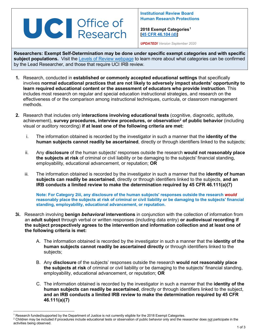# UC Office of<br>Research

#### **Institutional Review Board Human Research Protections**

**2018 Exempt Categories[1](#page-13-0) [45 CFR [46.104 \(d\)\]](https://www.ecfr.gov/cgi-bin/retrieveECFR?gp=&SID=83cd09e1c0f5c6937cd9d7513160fc3f&pitd=20180719&n=pt45.1.46&r=PART&ty=HTML#se45.1.46_1104)**

*UPDATED! Version September 2020*

**Researchers: Exempt Self-Determination may be done under specific exempt categories and with specific subject populations.** Visit the [Levels of Review](https://research.uci.edu/compliance/human-research-protections/researchers/levels-of-review.html) webpage to learn more about what categories can be confirmed by the Lead Researcher, and those that require UCI IRB review.

- **1.** Research, conducted in **established or commonly accepted educational settings** that specifically involves **normal educational practices that are not likely to adversely impact students' opportunity to learn required educational content or the assessment of educators who provide instruction**. This includes most research on regular and special education instructional strategies, and research on the effectiveness of or the comparison among instructional techniques, curricula, or classroom management methods.
- **2.** Research that includes only **interactions involving educational tests** (cognitive, diagnostic, aptitude, achievement), **survey procedures, interview procedures, or observation[2](#page-13-1) of public behavior** (including visual or auditory recording) **if at least one of the following criteria are met:**
	- i. The information obtained is recorded by the investigator in such a manner that the **identity of the human subjects cannot readily be ascertained**, directly or through identifiers linked to the subjects;
	- ii. Any **disclosure** of the human subjects' responses outside the research **would not reasonably place the subjects at risk** of criminal or civil liability or be damaging to the subjects' financial standing, employability, educational advancement, or reputation; **OR**
	- iii. The information obtained is recorded by the investigator in such a manner that the **identity of human subjects can readily be ascertained**, directly or through identifiers linked to the subjects, **and an IRB conducts a limited review to make the determination required by 45 CFR 46.111(a)(7)**

**Note: For Category 2iii, any disclosure of the human subjects' responses outside the research** *would* **reasonably place the subjects at risk of criminal or civil liability or be damaging to the subjects' financial standing, employability, educational advancement, or reputation.**

- **3i.** Research involving **benign** *behavioral* **interventions** in conjunction with the collection of information from an **adult subject** through verbal or written responses (including data entry) **or audiovisual recording if the subject prospectively agrees to the intervention and information collection and at least one of the following criteria is met:**
	- A. The information obtained is recorded by the investigator in such a manner that the **identity of the human subjects cannot readily be ascertained directly** or through identifiers linked to the subjects;
	- B. Any **disclosure** of the subjects' responses outside the research **would not reasonably place the subjects at risk** of criminal or civil liability or be damaging to the subjects' financial standing, employability, educational advancement, or reputation; **OR**
	- C. The information obtained is recorded by the investigator in such a manner that the **identity of the human subjects can readily be ascertained**, directly or through identifiers linked to the subject, **and an IRB conducts a limited IRB review to make the determination required by 45 CFR 46.111(a)(7)**

 $\overline{a}$ 

<span id="page-13-1"></span><span id="page-13-0"></span><sup>&</sup>lt;sup>1</sup> Research funded/supported by the Department of Justice is not currently eligible for the 2018 Exempt Categories.<br><sup>2</sup> Children may be included if procedures include educational tests or observation of public behavior on activities being observed.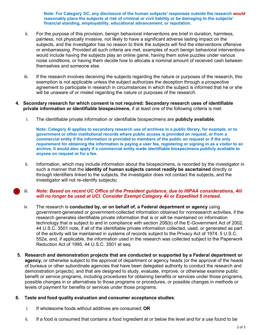**Note: For Category 3iC, any disclosure of the human subjects' responses outside the research** *would* **reasonably place the subjects at risk of criminal or civil liability or be damaging to the subjects' financial standing, employability, educational advancement, or reputation.**

- ii. For the purpose of this provision, benign behavioral interventions are brief in duration, harmless, painless, not physically invasive, not likely to have a significant adverse lasting impact on the subjects, and the investigator has no reason to think the subjects will find the interventions offensive or embarrassing. Provided all such criteria are met, examples of such benign behavioral interventions would include having the subjects play an online game, having them solve puzzles under various noise conditions, or having them decide how to allocate a nominal amount of received cash between themselves and someone else.
- iii. If the research involves deceiving the subjects regarding the nature or purposes of the research, this exemption is not applicable unless the subject authorizes the deception through a prospective agreement to participate in research in circumstances in which the subject is informed that he or she will be unaware of or misled regarding the nature or purposes of the research.
- **4. Secondary research for which consent is not required: Secondary research uses of identifiable private information or identifiable biospecimens**, if at least one of the following criteria is met:
	- i. The identifiable private information or identifiable biospecimens are **publicly available**;

**Note: Category 4i applies to secondary research use of archives in a public library, for example, or to government or other institutional records where public access is provided on request, or from a commercial entity if the information is provided to members of the public on request or if the only requirement for obtaining the information is paying a user fee, registering or signing in as a visitor to an archive. It would also apply if a commercial entity made identifiable biospecimens publicly available to anyone on request or for a fee.**

ii. Information, which may include information about the biospecimens, is recorded by the investigator in such a manner that the **identity of human subjects cannot readily be ascertained** directly or through identifiers linked to the subjects, the investigator does not contact the subjects, and the investigator will not re-identify subjects**;** 

#### iii. *Note: Based on recent UC Office of the President guidance, due to HIPAA considerations, 4iii will no longer be used at UCI. Consider Exempt Category 4ii or Expedited 5 instead.*

- iv. The research is **conducted by, or on behalf of, a Federal department or agency** using government-generated or government-collected information obtained for nonresearch activities, if the research generates identifiable private information that is or will be maintained on information technology that is subject to and in compliance with section 208(b) of the E-Government Act of 2002, 44 U.S.C. 3501 note, if all of the identifiable private information collected, used, or generated as part of the activity will be maintained in systems of records subject to the Privacy Act of 1974, 5 U.S.C. 552a, and, if applicable, the information used in the research was collected subject to the Paperwork Reduction Act of 1995, 44 U.S.C. 3501 et seq.
- **5. Research and demonstration projects that are conducted or supported by a Federal department or agency,** or otherwise subject to the approval of department or agency heads (or the approval of the heads of bureaus or other subordinate agencies that have been delegated authority to conduct the research and demonstration projects), and that are designed to study, evaluate, improve, or otherwise examine public benefit or service programs, including procedures for obtaining benefits or services under those programs, possible changes in or alternatives to those programs or procedures, or possible changes in methods or levels of payment for benefits or services under those programs.

#### **6. Taste and food quality evaluation and consumer acceptance studies**:

- i. If wholesome foods without additives are consumed; **OR**
- ii. If a food is consumed that contains a food ingredient at or below the level and for a use found to be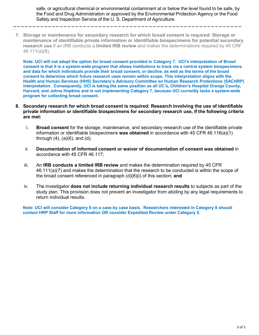safe, or agricultural chemical or environmental contaminant at or below the level found to be safe, by the Food and Drug Administration or approved by the Environmental Protection Agency or the Food Safety and Inspection Service of the U. S. Department of Agriculture.

**7. Storage or maintenance for secondary research for which broad consent is required: Storage or maintenance of identifiable private information or identifiable biospecimens for potential secondary research use** if an IRB conducts a **limited IRB review** and makes the determinations required by 45 CRF 46.111(a)(8).

**\_ \_ \_ \_ \_ \_ \_ \_ \_ \_ \_ \_ \_ \_ \_ \_ \_ \_ \_ \_ \_ \_ \_ \_ \_ \_ \_ \_ \_ \_ \_ \_ \_ \_ \_ \_ \_ \_ \_ \_ \_ \_ \_ \_ \_ \_ \_ \_ \_ \_ \_ \_ \_ \_ \_ \_ \_ \_ \_** 

**Note: UCI will not adopt the option for broad consent provided in Category 7. UCI's interpretation of Broad consent is that it is a system-wide program that allows institutions to track via a central system biospecimens and data for which individuals provide their broad consent, or decline, as well as the terms of the broad consent to determine which future research uses remain within scope. This interpretation aligns with the Health and Human Services (HHS) Secretary's Advisory Committee on Human Research Protections (SACHRP) interpretation. Consequently, UCI is taking the same position as all UC's, Children's Hospital Orange County, Harvard, and Johns Hopkins and is not implementing Category 7, because UCI currently lacks a system-wide program for collecting broad consent.** 

- **8. Secondary research for which broad consent is required: Research involving the use of identifiable private information or identifiable biospecimens for secondary research use, if the following criteria are met:**
	- i. **Broad consent** for the storage, maintenance, and secondary research use of the identifiable private information or identifiable biospecimens **was obtained** in accordance with 45 CFR 46.116(a)(1) through  $(4)$ ,  $(a)(6)$ , and  $(d)$ ;
	- ii. **Documentation of informed consent or waiver of documentation of consent was obtained** in accordance with 45 CFR 46.117;
	- iii. An **IRB conducts a limited IRB review** and makes the determination required by 45 CFR 46.111(a)(7) and makes the determination that the research to be conducted is within the scope of the broad consent referenced in paragraph (d)(8)(i) of this section; **and**
	- iv. The investigator **does not include returning individual research results** to subjects as part of the study plan. This provision does not prevent an investigator from abiding by any legal requirements to return individual results.

**Note: UCI will consider Category 8 on a case by case basis. Researchers interested in Category 8 should contact HRP Staff for more information OR consider Expedited Review under Category 5.**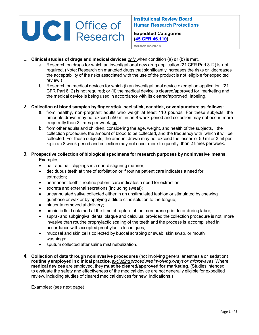# UC Persearch

#### **Institutional Review Board Human Research Protections**

#### **Expedited Categories (45 CFR [46.110\)](https://www.hhs.gov/ohrp/regulations-and-policy/guidance/categories-of-research-expedited-review-procedure-1998/index.html)**

**Version 02-28-18**

- 1. **Clinical studies of drugs and medical devices** *only* when condition (a) **or** (b) is met.
	- a. Research on drugs for which an investigational new drug application (21 CFR Part 312) is not required. (Note: Research on marketed drugs that significantly increases the risks or decreases the acceptability of the risks associated with the use of the product is not eligible for expedited review.)
	- b. Research on medical devices for which (i) an investigational device exemption application (21 CFR Part 812) is not required; or (ii) the medical device is cleared/approved for marketing and the medical device is being used in accordance with its cleared/approved labeling.

#### 2. **Collection of blood samples by finger stick, heel stick, ear stick, or venipuncture as follows**:

- a. from healthy, non-pregnant adults who weigh at least 110 pounds. For these subjects, the amounts drawn may not exceed 550 ml in an 8 week period and collection may not occur more frequently than 2 times per week; **or**
- b. from other adults and children, considering the age, weight, and health of the subjects, the collection procedure, the amount of blood to be collected, and the frequency with which it will be collected. For these subjects, the amount drawn may not exceed the lesser of 50 ml or 3 ml per kg in an 8 week period and collection may not occur more frequently than 2 times per week.

#### 3. **Prospective collection of biological specimens for research purposes by noninvasive means**. Examples:

- hair and nail clippings in a non-disfiguring manner;
- deciduous teeth at time of exfoliation or if routine patient care indicates a need for extraction;
- permanent teeth if routine patient care indicates a need for extraction;
- excreta and external secretions (including sweat);
- uncannulated saliva collected either in an unstimulated fashion or stimulated by chewing gumbase or wax or by applying a dilute citric solution to the tongue;
- placenta removed at delivery;
- amniotic fluid obtained at the time of rupture of the membrane prior to or during labor;
- supra- and subgingival dental plaque and calculus, provided the collection procedure is not more invasive than routine prophylactic scaling of the teeth and the process is accomplished in accordance with accepted prophylactic techniques;
- mucosal and skin cells collected by buccal scraping or swab, skin swab, or mouth washings;
- sputum collected after saline mist nebulization.
- 4. **Collection of data through noninvasive procedures** (not involving general anesthesia or sedation) **routinely employed in clinical practice**, *excludingprocedures involvingx-raysor microwaves*. Where **medical devices** are employed, they **must be cleared/approved for marketing**. (Studies intended to evaluate the safety and effectiveness of the medical device are not generally eligible for expedited review, including studies of cleared medical devices for new indications.)

Examples: (see next page)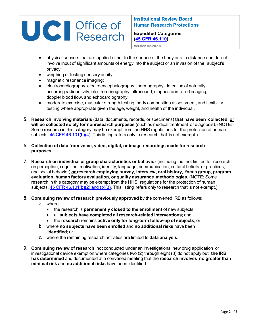

#### **Institutional Review Board Human Research Protections**

#### **Expedited Categories (45 CFR [46.110\)](https://www.hhs.gov/ohrp/regulations-and-policy/guidance/categories-of-research-expedited-review-procedure-1998/index.html)**

**Version 02-28-18**

- physical sensors that are applied either to the surface of the body or at a distance and do not involve input of significant amounts of energy into the subject or an invasion of the subject's privacy;
- weighing or testing sensory acuity;
- magnetic resonance imaging;
- electrocardiography, electroencephalography, thermography, detection of naturally occurring radioactivity, electroretinography, ultrasound, diagnostic infrared imaging, doppler blood flow, and echocardiography;
- moderate exercise, muscular strength testing, body composition assessment, and flexibility testing where appropriate given the age, weight, and health of the individual.
- 5. **Research involving materials** (data, documents, records, or specimens) **that have been collected, or will be collected solely for nonresearch purposes** (such as medical treatment or diagnosis). (NOTE: Some research in this category may be exempt from the HHS regulations for the protection of human subjects.  $45$  CFR  $46.101(b)(4)$ . This listing refers only to research that is not exempt.)
- 6. **Collection of data from voice, video, digital, or image recordings made for research purposes**.
- 7. **Research on individual or group characteristics or behavior** (including, but not limited to, research on perception, cognition, motivation, identity, language, communication, cultural beliefs or practices, and social behavior) **or research employing survey, interview, oral history, focus group, program evaluation, human factors evaluation, or quality assurance methodologies**. (NOTE: Some research in this category may be exempt from the HHS regulations for the protection of human subjects.  $45$  CFR  $46.101(b)(2)$  and  $(b)(3)$ . This listing refers only to research that is not exempt.)
- 8. **Continuing review of research previously approved** by the convened IRB as follows:
	- a. where
		- the research is **permanently closed to the enrollment** of new subjects;
		- all **subjects have completed all research-related interventions**; and
		- the **research** remains **active only for long-term follow-up of subjects**; or
	- b. where **no subjects have been enrolled** and **no additional risks** have been  **identified**; or
	- c. where the remaining research activities are limited to **data analysis**.
- 9. **Continuing review of research**, not conducted under an investigational new drug application or investigational device exemption where categories two (2) through eight (8) do not apply but **the IRB has determined** and documented at a convened meeting that the **research involves no greater than minimal risk** and **no additional risks** have been identified.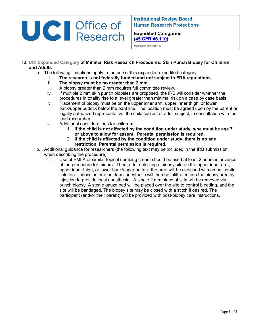# UC Persearch

#### **Institutional Review Board Human Research Protections**

**Expedited Categories (45 CFR [46.110\)](https://www.hhs.gov/ohrp/regulations-and-policy/guidance/categories-of-research-expedited-review-procedure-1998/index.html)**

**Version 02-28-18**

- 13. **UCI Expanded Category of Minimal Risk Research Procedures: Skin Punch Biopsy for Children and Adults**
	- a. The following limitations apply to the use of this expanded expedited category:
		- **i. The research is not federally funded and not subject to FDA regulations.**
		- **ii. The biopsy must be no greater than 2 mm.**
		- iii. A biopsy greater than 2 mm requires full committee review.
		- iv. If multiple 2 mm skin punch biopsies are proposed, the IRB will consider whether the procedures in totality rise to a level greater than minimal risk on a case by case basis.
		- v. Placement of biopsy must be on the upper inner arm, upper inner thigh, or lower back/upper buttock below the pant line. The location must be agreed upon by the parent or legally authorized representative, the child subject or adult subject, in consultation with the lead researcher.
		- vi. Additional considerations for children:
			- 1. **If the child is not affected by the condition under study, s/he must be age 7 or above to allow for assent. Parental permission is required.**
			- 2. **If the child is affected by the condition under study, there is no age restriction. Parental permission is required.**
	- b. Additional guidance for researchers (the following text may be included in the IRB submission when describing the procedure):
		- i. Use of EMLA or similar topical numbing cream should be used at least 2 hours in advance of the procedure for minors. Then, after selecting a biopsy site on the upper inner arm, upper inner thigh, or lower back/upper buttock the area will be cleansed with an antiseptic solution. Lidocaine or other local anesthetic will then be infiltrated into the biopsy area by injection to provide local anesthesia. A single 2 mm piece of skin will be removed via punch biopsy. A sterile gauze pad will be placed over the site to control bleeding, and the site will be bandaged. The biopsy site may be closed with a stitch if desired. The participant (and/or their parent) will be provided with post-biopsy care instructions.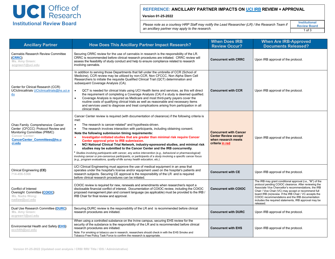

#### **REFERENCE: ANCILLARY PARTNER IMPACTS ON UCI IRB REVIEW + APPROVAL**

#### **Version 01-25-2022**

**Institutional Review Board** *Please note as a courtesy HRP Staff may notify the Lead Researcher (LR) / the Research Team if an ancillary partner may apply to the research.* 

**Institutional Review Board** 1 of 3

| <b>Ancillary Partner</b>                                                                                                                                                 | <b>How Does This Ancillary Partner Impact Research?</b>                                                                                                                                                                                                                                                                                                                                                                                                                                                                                                                                                                                                                                                                                                                                                                                                                                                                                 | <b>When Does IRB</b><br><b>Review Occur?</b>                                                           | <b>When Are IRB-Approved</b><br><b>Documents Released?</b>                                                                                                                                                                                                                                                                                                                                                             |
|--------------------------------------------------------------------------------------------------------------------------------------------------------------------------|-----------------------------------------------------------------------------------------------------------------------------------------------------------------------------------------------------------------------------------------------------------------------------------------------------------------------------------------------------------------------------------------------------------------------------------------------------------------------------------------------------------------------------------------------------------------------------------------------------------------------------------------------------------------------------------------------------------------------------------------------------------------------------------------------------------------------------------------------------------------------------------------------------------------------------------------|--------------------------------------------------------------------------------------------------------|------------------------------------------------------------------------------------------------------------------------------------------------------------------------------------------------------------------------------------------------------------------------------------------------------------------------------------------------------------------------------------------------------------------------|
| Cannabis Research Review Committee<br>(CRRC)<br>Ms. Amy Green:<br>acgreen1@uci.edu                                                                                       | Securing CRRC review for the use of cannabis in research is the responsibility of the LR.<br>CRRC is recommended before clinical research procedures are initiated. CRRC review will<br>assess the feasibility of study conduct and help to ensure compliance related to research<br>involving cannabis.                                                                                                                                                                                                                                                                                                                                                                                                                                                                                                                                                                                                                                | <b>Concurrent with CRRC</b>                                                                            | Upon IRB approval of the protocol.                                                                                                                                                                                                                                                                                                                                                                                     |
| Center for Clinical Research (CCR)<br>UCIclinicaltrials UCIclinicaltrials@hs.uci.e<br>$du$                                                                               | In addition to serving those Departments that fall under the umbrella of CCR (School of<br>Medicine), CCR review may be utilized by non-CCR, Non CFCCC, Non Alpha Stem Cell<br>Researchers to initiate the requisite Qualified Clinical Trail (QCT) determination and<br>subsequent Coverage Analysis (CA).<br>QCT is needed for clinical trials using UCI Health items and services, as this will direct<br>the requirement of completing a Coverage Analysis (CA) if a study is deemed qualified.<br>Coverage Analysis is required as Medicare and most third-party payers cover the<br>$\bullet$<br>routine costs of qualifying clinical trials as well as reasonable and necessary items<br>and services used to diagnose and treat complications arising from participation in all<br>clinical trials.                                                                                                                             | <b>Concurrent with CCR</b>                                                                             | Upon IRB approval of the protocol.                                                                                                                                                                                                                                                                                                                                                                                     |
| Chao Family Comprehensive Cancer<br>Center (CFCCC) Protocol Review and<br>Monitoring Committee (PRMC)<br><b>Cancer Center:</b><br>CancerCenter Committees@hs.u<br>ci.edu | Cancer Center review is required (with documentation of clearance) if the following criteria is<br>met:<br>The research is cancer-related* and hypothesis-driven.<br>$\bullet$<br>The research involves interaction with participants, including obtaining consent.<br>Note the following submission timing requirements:<br>Investigator-initiated studies that are greater than minimal risk require Cancer<br>Center approval prior to IRB submission.<br>NCI National Clinical Trial Network, industry-sponsored studies, and minimal risk<br>studies may be submitted to the Cancer Center and the IRB concurrently.<br>* Studies involving participants with cancer, any active intervention (e.g., behavioral or pharmacological)<br>involving cancer or pre-cancerous participants, or participants of a study involving a specific cancer focus<br>(e.g., program evaluations, quality-of-life survey health education, etc.). | <b>Concurrent with Cancer</b><br><b>Center Review except</b><br>when research meets<br>criteria in red | Upon IRB approval of the protocol.                                                                                                                                                                                                                                                                                                                                                                                     |
| Clinical Engineering (CE)<br>714-456-5366                                                                                                                                | UCI Clinical Engineering must approve the use of medical equipment in an area that<br>operates under the hospital's license and/or equipment used on the hospital's patients and<br>research subjects. Securing CE approval is the responsibility of the LR and is required<br>before clinical research procedures can be initiated.                                                                                                                                                                                                                                                                                                                                                                                                                                                                                                                                                                                                    | <b>Concurrent with CE</b>                                                                              | Upon IRB approval of the protocol.                                                                                                                                                                                                                                                                                                                                                                                     |
| Conflict of Interest<br>Oversight Committee (COIOC)<br>Ms. Nadia Wong:<br>nadiaw@uci.edu                                                                                 | COIOC review is required for new, renewals and amendments when researcher/s report a<br>disclosable financial conflict of interest. Documentation of COIOC review, including the COIOC<br>proposed management plan and consent language (as applicable) must be provided to the IRB /<br>IRB Chair for final review and approval.                                                                                                                                                                                                                                                                                                                                                                                                                                                                                                                                                                                                       | <b>Concurrent with COIOC</b>                                                                           | The IRB may grant conditional approval (i.e., "M") of the<br>protocol pending COIOC clearance. After reviewing the<br>Associate Vice Chancellor's recommendations, the IRB<br>Chair / Vice Chair (VC) may accept or recommend full<br>board IRB (re)review. If the IRB Chair / VC accepts the<br>COIOC recommendations and the IRB documentation<br>includes the required statements, IRB approval may be<br>released. |
| Dual Use Research Committee (DURC)<br>Ms. Amy Green:<br>acgreen1@uci.edu                                                                                                 | Securing DURC review is the responsibility of the LR and is recommended before clinical<br>research procedures are initiated.                                                                                                                                                                                                                                                                                                                                                                                                                                                                                                                                                                                                                                                                                                                                                                                                           | <b>Concurrent with DURC</b>                                                                            | Upon IRB approval of the protocol.                                                                                                                                                                                                                                                                                                                                                                                     |
| Environmental Health and Safety (EHS)<br>occhith@uci.edu                                                                                                                 | When using a controlled substance on the Irvine campus, securing EHS review for the<br>security of the substance is the responsibility of the LR and is recommended before clinical<br>research procedures are initiated.<br>Note: For smoking or tobacco use in research, researchers should check in with the EHS Smoke and<br>Tobacco Free Policy Task Force to confirm the research is appropriate.                                                                                                                                                                                                                                                                                                                                                                                                                                                                                                                                 | <b>Concurrent with EHS</b>                                                                             | Upon IRB approval of the protocol.                                                                                                                                                                                                                                                                                                                                                                                     |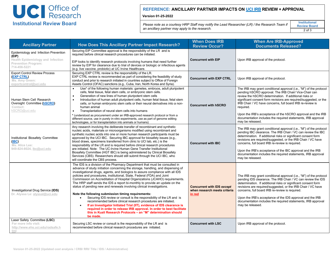

#### **REFERENCE: ANCILLARY PARTNER IMPACTS ON UCI IRB REVIEW + APPROVAL**

#### **Version 01-25-2022**

**Institutional Review Board** *Please note as a courtesy HRP Staff may notify the Lead Researcher (LR) / the Research Team if an ancillary partner may apply to the research.* 

**Institutional Review Board** 2 of 3

| <b>Ancillary Partner</b>                                                                                                                 | <b>How Does This Ancillary Partner Impact Research?</b>                                                                                                                                                                                                                                                                                                                                                                                                                                                                                                                                                                                                                                                                                                                                                                                                                                                                                                                                                          | <b>When Does IRB</b><br><b>Review Occur?</b>                                       | <b>When Are IRB-Approved</b><br><b>Documents Released?</b>                                                                                                                                                                                                                                                                                                                                                                                                               |
|------------------------------------------------------------------------------------------------------------------------------------------|------------------------------------------------------------------------------------------------------------------------------------------------------------------------------------------------------------------------------------------------------------------------------------------------------------------------------------------------------------------------------------------------------------------------------------------------------------------------------------------------------------------------------------------------------------------------------------------------------------------------------------------------------------------------------------------------------------------------------------------------------------------------------------------------------------------------------------------------------------------------------------------------------------------------------------------------------------------------------------------------------------------|------------------------------------------------------------------------------------|--------------------------------------------------------------------------------------------------------------------------------------------------------------------------------------------------------------------------------------------------------------------------------------------------------------------------------------------------------------------------------------------------------------------------------------------------------------------------|
| Epidemiology and Infection Prevention<br>(EIP)<br><b>Health Epidemiology and Infection</b><br><b>Prevention Program:</b><br>714-456-5221 | Securing EIP Committee approval is the responsibility of the LR and is<br>required before clinical research procedures can be initiated.<br>EIP looks to identify research protocols involving humans that need further<br>review by EIP for clearance due to trial of devices or biologic or infectious agents<br>(e.g. live vaccine, probiotic) at UC Irvine Healthcare.                                                                                                                                                                                                                                                                                                                                                                                                                                                                                                                                                                                                                                       | <b>Concurrent with EIP</b>                                                         | Upon IRB approval of the protocol.                                                                                                                                                                                                                                                                                                                                                                                                                                       |
| <b>Export Control Review Process</b><br>(EXP CTRL)<br>Ms. Amy Green:<br>exportcontrol@uci.edu                                            | Securing EXP CTRL review is the responsibility of the LR.<br>EXP CTRL review is recommended as part of considering the feasibility of study<br>conduct and prior to research initiated in countries subject to Office of Foreign<br>Assets Control (OFAC) sanctions (e.g., Cuba, Iran, North Korea and Syria).                                                                                                                                                                                                                                                                                                                                                                                                                                                                                                                                                                                                                                                                                                   | <b>Concurrent with EXP CTRL</b>                                                    | Upon IRB approval of the protocol.                                                                                                                                                                                                                                                                                                                                                                                                                                       |
| Human Stem Cell Research<br>Oversight Committee (hSCRO)<br>Contact:<br>hSCRO@uci.edu                                                     | Use* of the following human materials: gametes, embryos, adult pluripotent<br>cells, fetal tissue, fetal stem cells, or embryonic stem cells.<br>Generation of new lines of human pluripotent stem cells<br>Introduction of human adult pluripotent cells, human fetal tissue, fetal stem<br>cells, or human embryonic stem cells or their neural derivatives into a non-<br>human animal<br>Transplantation of neural stem cells into humans<br>$\bullet$                                                                                                                                                                                                                                                                                                                                                                                                                                                                                                                                                       | <b>Concurrent with hSCRO</b>                                                       | The IRB may grant conditional approval (i.e., "M") of the protocol<br>pending hSCRO approval. The IRB Chair/ Vice-Chair can<br>review the hSCRO determination. If additional risks or<br>significant consent form revisions are required/suggested, or the<br>IRB Chair / VC have concerns, full board IRB re-review is<br>required.<br>Upon the IRB's acceptance of the hSCRO approval and the IRB                                                                      |
|                                                                                                                                          | * (understood as procurement under an IRB-approved research protocol or from a<br>different source, use in purely in-vitro experiments, use as part of genome editing<br>technologies, or for transplantation into animals or humans)                                                                                                                                                                                                                                                                                                                                                                                                                                                                                                                                                                                                                                                                                                                                                                            |                                                                                    | documentation includes the required statements, IRB approval<br>may be released.                                                                                                                                                                                                                                                                                                                                                                                         |
| Institutional Biosafety Committee<br>(IBC)<br>Ms. Alice Lee:<br>949-824-8024, ibc@uci.edu                                                | Any research involving the deliberate transfer of recombinant and synthetic<br>nucleic acids, materials or microorganisms modified using recombinant and<br>synthetic nucleic acids into one or more human research participants must be<br>approved by the UCI IBC. Securing IBC approval for biosafety issues (e.g.,<br>blood draws, specimens transferred from clinic to UCI lab, etc.) is the<br>responsibility of the LR and is required before clinical research procedures<br>are initiated. Note: The UC-Irvine Human Gene Transfer Institutional<br>Biosafety Committee (HGT IBC) is being administered by Clinical Biosafety<br>Services (CBS). Researchers should still submit through the UCI IBC, who<br>will coordinate the CBS process.                                                                                                                                                                                                                                                           | <b>Concurrent with IBC</b>                                                         | The IRB may grant conditional approval (i.e., "M") of the protocol<br>pending IBC clearance. The IRB Chair / VC can review the IBC<br>determination. If additional risks or significant consent form<br>revisions are required/suggested, or the IRB Chair / VC have<br>concerns, full board IRB re-review is required.<br>Upon the IRB's acceptance of the IBC approval and the IRB<br>documentation includes the required statements, IRB approval<br>may be released. |
| Investigational Drug Service (IDS)<br>Dr. Alyssa Le: alyssal@uci.edu                                                                     | The IDS is a division of the Pharmacy Department that must be consulted in<br>advance of study initiation concerning the storage, handling, and dispensing of<br>investigational drugs, agents, and biologics to assure compliance with all IDS<br>policies and procedures, institutional, State, Federal (FDA) and Joint<br>Commission on Accreditation of Hospital Organizations (JCAHO) requirements.<br>The HRP staff sends the IDS a report bi-monthly to provide an update on the<br>status of pending new and renewals involving clinical investigations.<br>Note the following submission timing requirements:<br>Securing IDS review or consult is the responsibility of the LR and is<br>recommended before clinical research procedures are initiated.<br>If an Investigator Initiated Trial (IIT), evidence of IDS clearance is<br>$\bullet$<br>required in order to release IRB approval. In order to best facilitate<br>this in Kuali Research Protocols - an "M" determination should<br>be made. | <b>Concurrent with IDS except</b><br>when research meets criteria<br><u>in red</u> | The IRB may grant conditional approval (i.e., "M") of the protocol<br>pending IDS clearance. The IRB Chair / VC can review the IDS<br>determination. If additional risks or significant consent form<br>revisions are required/suggested, or the IRB Chair / VC have<br>concerns, full board IRB re-review is required.<br>Upon the IRB's acceptance of the IDS approval and the IRB<br>documentation includes the required statements, IRB approval<br>may be released. |
| Laser Safety Committee (LSC)<br>For more info visit:<br>http://www.ehs.uci.edu/radsafe.h<br>tml                                          | Securing LSC review or consult is the responsibility of the LR and is<br>recommended before clinical research procedures are initiated.                                                                                                                                                                                                                                                                                                                                                                                                                                                                                                                                                                                                                                                                                                                                                                                                                                                                          | <b>Concurrent with LSC</b>                                                         | Upon IRB approval of the protocol.                                                                                                                                                                                                                                                                                                                                                                                                                                       |